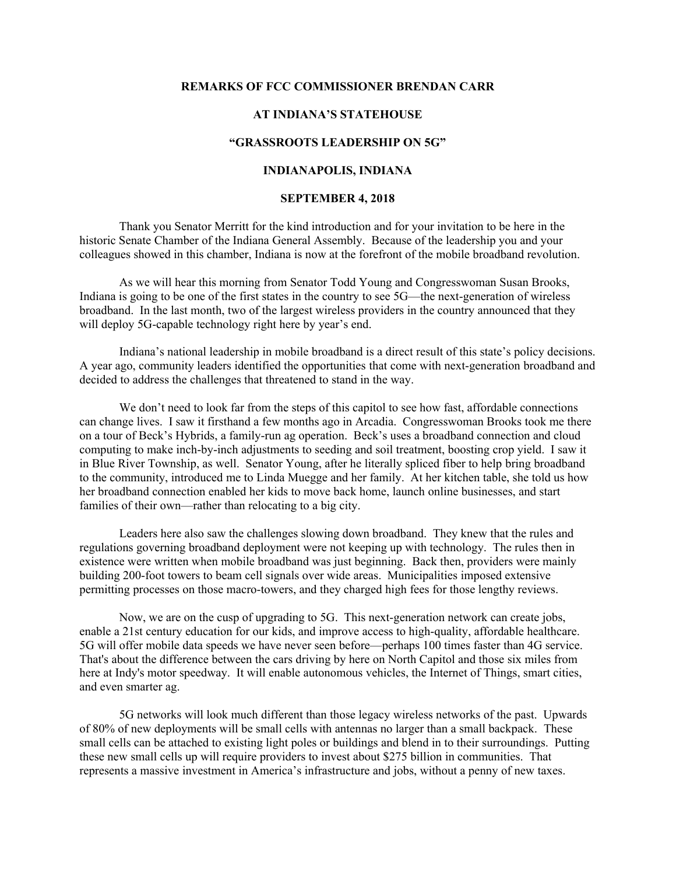#### **REMARKS OF FCC COMMISSIONER BRENDAN CARR**

## **AT INDIANA'S STATEHOUSE**

## **"GRASSROOTS LEADERSHIP ON 5G"**

# **INDIANAPOLIS, INDIANA**

#### **SEPTEMBER 4, 2018**

Thank you Senator Merritt for the kind introduction and for your invitation to be here in the historic Senate Chamber of the Indiana General Assembly. Because of the leadership you and your colleagues showed in this chamber, Indiana is now at the forefront of the mobile broadband revolution.

As we will hear this morning from Senator Todd Young and Congresswoman Susan Brooks, Indiana is going to be one of the first states in the country to see 5G—the next-generation of wireless broadband. In the last month, two of the largest wireless providers in the country announced that they will deploy 5G-capable technology right here by year's end.

Indiana's national leadership in mobile broadband is a direct result of this state's policy decisions. A year ago, community leaders identified the opportunities that come with next-generation broadband and decided to address the challenges that threatened to stand in the way.

We don't need to look far from the steps of this capitol to see how fast, affordable connections can change lives. I saw it firsthand a few months ago in Arcadia. Congresswoman Brooks took me there on a tour of Beck's Hybrids, a family-run ag operation. Beck's uses a broadband connection and cloud computing to make inch-by-inch adjustments to seeding and soil treatment, boosting crop yield. I saw it in Blue River Township, as well. Senator Young, after he literally spliced fiber to help bring broadband to the community, introduced me to Linda Muegge and her family. At her kitchen table, she told us how her broadband connection enabled her kids to move back home, launch online businesses, and start families of their own—rather than relocating to a big city.

Leaders here also saw the challenges slowing down broadband. They knew that the rules and regulations governing broadband deployment were not keeping up with technology. The rules then in existence were written when mobile broadband was just beginning. Back then, providers were mainly building 200-foot towers to beam cell signals over wide areas. Municipalities imposed extensive permitting processes on those macro-towers, and they charged high fees for those lengthy reviews.

Now, we are on the cusp of upgrading to 5G. This next-generation network can create jobs, enable a 21st century education for our kids, and improve access to high-quality, affordable healthcare. 5G will offer mobile data speeds we have never seen before—perhaps 100 times faster than 4G service. That's about the difference between the cars driving by here on North Capitol and those six miles from here at Indy's motor speedway. It will enable autonomous vehicles, the Internet of Things, smart cities, and even smarter ag.

5G networks will look much different than those legacy wireless networks of the past. Upwards of 80% of new deployments will be small cells with antennas no larger than a small backpack. These small cells can be attached to existing light poles or buildings and blend in to their surroundings. Putting these new small cells up will require providers to invest about \$275 billion in communities. That represents a massive investment in America's infrastructure and jobs, without a penny of new taxes.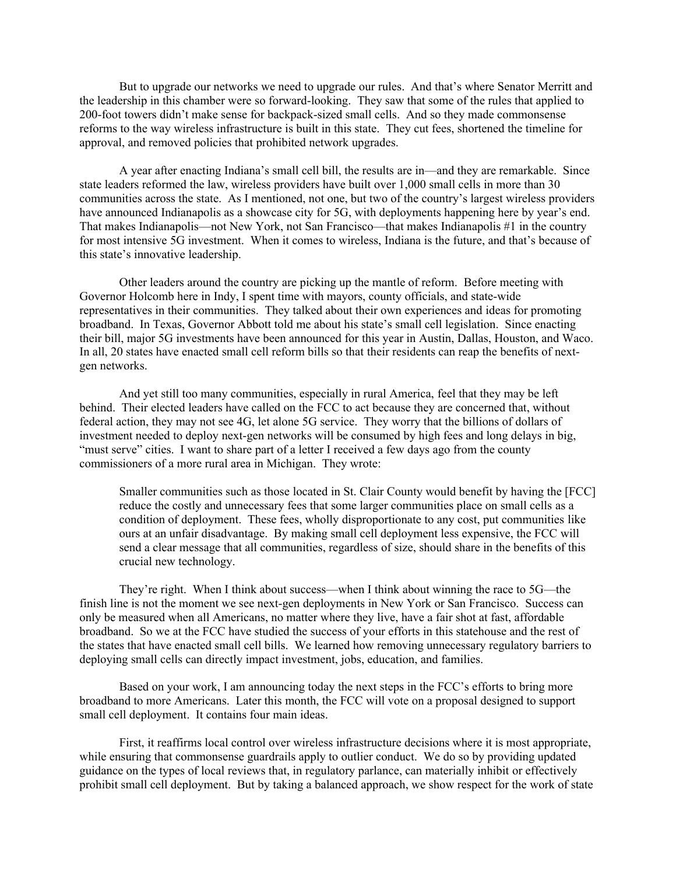But to upgrade our networks we need to upgrade our rules. And that's where Senator Merritt and the leadership in this chamber were so forward-looking. They saw that some of the rules that applied to 200-foot towers didn't make sense for backpack-sized small cells. And so they made commonsense reforms to the way wireless infrastructure is built in this state. They cut fees, shortened the timeline for approval, and removed policies that prohibited network upgrades.

A year after enacting Indiana's small cell bill, the results are in—and they are remarkable. Since state leaders reformed the law, wireless providers have built over 1,000 small cells in more than 30 communities across the state. As I mentioned, not one, but two of the country's largest wireless providers have announced Indianapolis as a showcase city for 5G, with deployments happening here by year's end. That makes Indianapolis—not New York, not San Francisco—that makes Indianapolis #1 in the country for most intensive 5G investment. When it comes to wireless, Indiana is the future, and that's because of this state's innovative leadership.

Other leaders around the country are picking up the mantle of reform. Before meeting with Governor Holcomb here in Indy, I spent time with mayors, county officials, and state-wide representatives in their communities. They talked about their own experiences and ideas for promoting broadband. In Texas, Governor Abbott told me about his state's small cell legislation. Since enacting their bill, major 5G investments have been announced for this year in Austin, Dallas, Houston, and Waco. In all, 20 states have enacted small cell reform bills so that their residents can reap the benefits of nextgen networks.

And yet still too many communities, especially in rural America, feel that they may be left behind. Their elected leaders have called on the FCC to act because they are concerned that, without federal action, they may not see 4G, let alone 5G service. They worry that the billions of dollars of investment needed to deploy next-gen networks will be consumed by high fees and long delays in big, "must serve" cities. I want to share part of a letter I received a few days ago from the county commissioners of a more rural area in Michigan. They wrote:

Smaller communities such as those located in St. Clair County would benefit by having the [FCC] reduce the costly and unnecessary fees that some larger communities place on small cells as a condition of deployment. These fees, wholly disproportionate to any cost, put communities like ours at an unfair disadvantage. By making small cell deployment less expensive, the FCC will send a clear message that all communities, regardless of size, should share in the benefits of this crucial new technology.

They're right. When I think about success—when I think about winning the race to 5G—the finish line is not the moment we see next-gen deployments in New York or San Francisco. Success can only be measured when all Americans, no matter where they live, have a fair shot at fast, affordable broadband. So we at the FCC have studied the success of your efforts in this statehouse and the rest of the states that have enacted small cell bills. We learned how removing unnecessary regulatory barriers to deploying small cells can directly impact investment, jobs, education, and families.

Based on your work, I am announcing today the next steps in the FCC's efforts to bring more broadband to more Americans. Later this month, the FCC will vote on a proposal designed to support small cell deployment. It contains four main ideas.

First, it reaffirms local control over wireless infrastructure decisions where it is most appropriate, while ensuring that commonsense guardrails apply to outlier conduct. We do so by providing updated guidance on the types of local reviews that, in regulatory parlance, can materially inhibit or effectively prohibit small cell deployment. But by taking a balanced approach, we show respect for the work of state